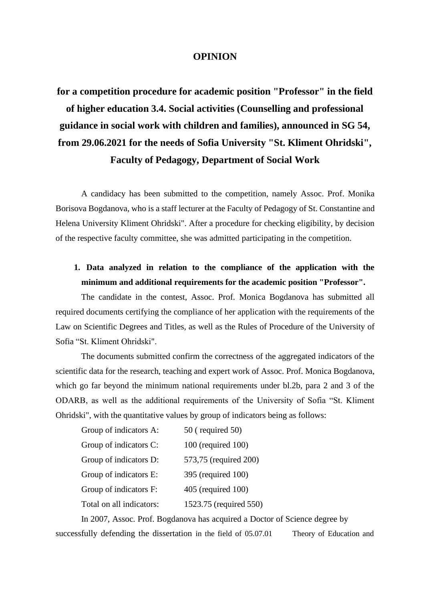### **OPINION**

**for a competition procedure for academic position "Professor" in the field of higher education 3.4. Social activities (Counselling and professional guidance in social work with children and families), announced in SG 54, from 29.06.2021 for the needs of Sofia University "St. Kliment Ohridski", Faculty of Pedagogy, Department of Social Work**

A candidacy has been submitted to the competition, namely Assoc. Prof. Monika Borisova Bogdanova, who is a staff lecturer at the Faculty of Pedagogy of St. Constantine and Helena University Kliment Ohridski". After a procedure for checking eligibility, by decision of the respective faculty committee, she was admitted participating in the competition.

## **1. Data analyzed in relation to the compliance of the application with the minimum and additional requirements for the academic position "Professor".**

The candidate in the contest, Assoc. Prof. Monica Bogdanova has submitted all required documents certifying the compliance of her application with the requirements of the Law on Scientific Degrees and Titles, as well as the Rules of Procedure of the University of Sofia "St. Kliment Ohridski".

The documents submitted confirm the correctness of the aggregated indicators of the scientific data for the research, teaching and expert work of Assoc. Prof. Monica Bogdanova, which go far beyond the minimum national requirements under bl.2b, para 2 and 3 of the ODARB, as well as the additional requirements of the University of Sofia "St. Kliment Ohridski", with the quantitative values by group of indicators being as follows:

| Group of indicators A:   | $50$ (required $50$ )   |
|--------------------------|-------------------------|
| Group of indicators C:   | $100$ (required $100$ ) |
| Group of indicators D:   | 573,75 (required 200)   |
| Group of indicators E:   | 395 (required 100)      |
| Group of indicators F:   | 405 (required 100)      |
| Total on all indicators: | 1523.75 (required 550)  |

In 2007, Assoc. Prof. Bogdanova has acquired a Doctor of Science degree by successfully defending the dissertation in the field of 05.07.01 Theory of Education and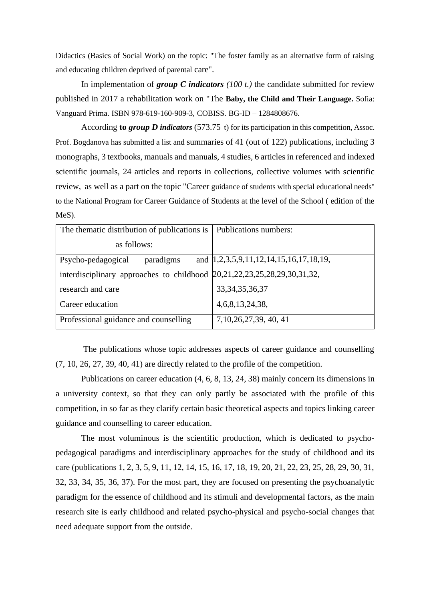Didactics (Basics of Social Work) on the topic: "The foster family as an alternative form of raising and educating children deprived of parental care".

In implementation of *group C indicators (100 t.)* the candidate submitted for review published in 2017 a rehabilitation work on "The **Baby, the Child and Their Language.** Sofia: Vanguard Prima. ISBN 978-619-160-909-3, COBISS. BG-ID – 1284808676.

According **to** *group D indicators* (573.75 t) for its participation in this competition, Assoc. Prof. Bogdanova has submitted a list and summaries of 41 (out of 122) publications, including 3 monographs, 3 textbooks, manuals and manuals, 4 studies, 6 articles in referenced and indexed scientific journals, 24 articles and reports in collections, collective volumes with scientific review, as well as a part on the topic "Career guidance of students with special educational needs" to the National Program for Career Guidance of Students at the level of the School ( edition of the MeS).

| The thematic distribution of publications is   Publications numbers:        |                                           |
|-----------------------------------------------------------------------------|-------------------------------------------|
| as follows:                                                                 |                                           |
| Psycho-pedagogical<br>paradigms                                             | and $[1,2,3,5,9,11,12,14,15,16,17,18,19,$ |
| interdisciplinary approaches to childhood $[20,21,22,23,25,28,29,30,31,32,$ |                                           |
| research and care                                                           | 33, 34, 35, 36, 37                        |
| Career education                                                            | 4, 6, 8, 13, 24, 38,                      |
| Professional guidance and counselling                                       | 7, 10, 26, 27, 39, 40, 41                 |

The publications whose topic addresses aspects of career guidance and counselling  $(7, 10, 26, 27, 39, 40, 41)$  are directly related to the profile of the competition.

Publications on career education (4, 6, 8, 13, 24, 38) mainly concern its dimensions in a university context, so that they can only partly be associated with the profile of this competition, in so far as they clarify certain basic theoretical aspects and topics linking career guidance and counselling to career education.

The most voluminous is the scientific production, which is dedicated to psychopedagogical paradigms and interdisciplinary approaches for the study of childhood and its care (publications 1, 2, 3, 5, 9, 11, 12, 14, 15, 16, 17, 18, 19, 20, 21, 22, 23, 25, 28, 29, 30, 31, 32, 33, 34, 35, 36, 37). For the most part, they are focused on presenting the psychoanalytic paradigm for the essence of childhood and its stimuli and developmental factors, as the main research site is early childhood and related psycho-physical and psycho-social changes that need adequate support from the outside.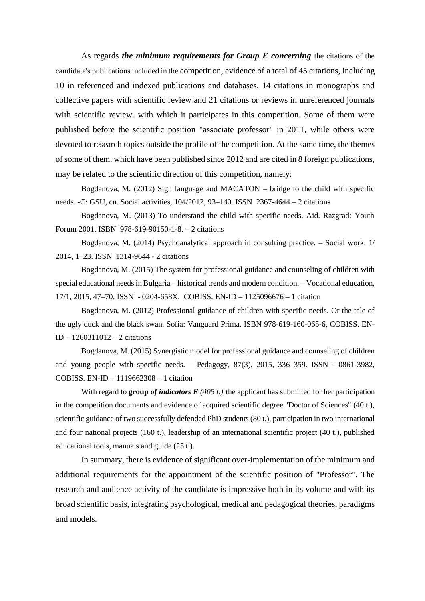As regards *the minimum requirements for Group E concerning* the citations of the candidate's publications included in the competition, evidence of a total of 45 citations, including 10 in referenced and indexed publications and databases, 14 citations in monographs and collective papers with scientific review and 21 citations or reviews in unreferenced journals with scientific review. with which it participates in this competition. Some of them were published before the scientific position "associate professor" in 2011, while others were devoted to research topics outside the profile of the competition. At the same time, the themes of some of them, which have been published since 2012 and are cited in 8 foreign publications, may be related to the scientific direction of this competition, namely:

Bogdanova, M. (2012) Sign language and MACATON – bridge to the child with specific needs. -C: GSU, cn. Social activities, 104/2012, 93–140. ISSN 2367-4644 – 2 citations

Bogdanova, M. (2013) To understand the child with specific needs. Aid. Razgrad: Youth Forum 2001. ISBN 978-619-90150-1-8. – 2 citations

Bogdanova, M. (2014) Psychoanalytical approach in consulting practice. – Social work, 1/ 2014, 1–23. ISSN 1314-9644 - 2 citations

Bogdanova, M. (2015) The system for professional guidance and counseling of children with special educational needs in Bulgaria – historical trends and modern condition. – Vocational education, 17/1, 2015, 47–70. ISSN - 0204-658X, COBISS. EN-ID – 1125096676 – 1 citation

Bogdanova, M. (2012) Professional guidance of children with specific needs. Or the tale of the ugly duck and the black swan. Sofia: Vanguard Prima. ISBN 978-619-160-065-6, COBISS. EN-ID – 1260311012 – 2 citations

Bogdanova, M. (2015) Synergistic model for professional guidance and counseling of children and young people with specific needs. – Pedagogy, 87(3), 2015, 336–359. ISSN - 0861-3982, COBISS. EN-ID – 1119662308 – 1 citation

With regard to group *of indicators*  $E(405 t)$  the applicant has submitted for her participation in the competition documents and evidence of acquired scientific degree "Doctor of Sciences" (40 t.), scientific guidance of two successfully defended PhD students (80 t.), participation in two international and four national projects (160 t.), leadership of an international scientific project (40 t.), published educational tools, manuals and guide (25 t.).

In summary, there is evidence of significant over-implementation of the minimum and additional requirements for the appointment of the scientific position of "Professor". The research and audience activity of the candidate is impressive both in its volume and with its broad scientific basis, integrating psychological, medical and pedagogical theories, paradigms and models.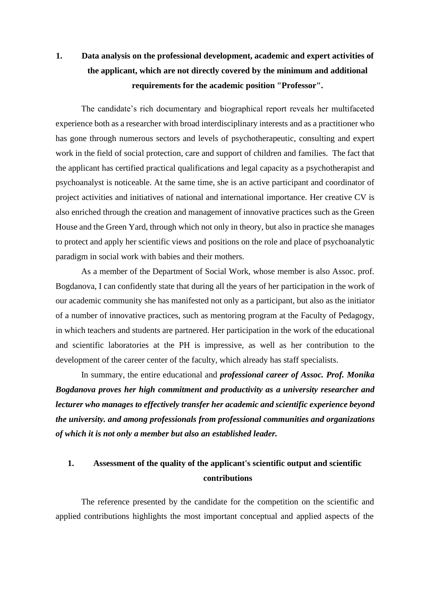# **1. Data analysis on the professional development, academic and expert activities of the applicant, which are not directly covered by the minimum and additional requirements for the academic position "Professor".**

The candidate's rich documentary and biographical report reveals her multifaceted experience both as a researcher with broad interdisciplinary interests and as a practitioner who has gone through numerous sectors and levels of psychotherapeutic, consulting and expert work in the field of social protection, care and support of children and families. The fact that the applicant has certified practical qualifications and legal capacity as a psychotherapist and psychoanalyst is noticeable. At the same time, she is an active participant and coordinator of project activities and initiatives of national and international importance. Her creative CV is also enriched through the creation and management of innovative practices such as the Green House and the Green Yard, through which not only in theory, but also in practice she manages to protect and apply her scientific views and positions on the role and place of psychoanalytic paradigm in social work with babies and their mothers.

As a member of the Department of Social Work, whose member is also Assoc. prof. Bogdanova, I can confidently state that during all the years of her participation in the work of our academic community she has manifested not only as a participant, but also as the initiator of a number of innovative practices, such as mentoring program at the Faculty of Pedagogy, in which teachers and students are partnered. Her participation in the work of the educational and scientific laboratories at the PH is impressive, as well as her contribution to the development of the career center of the faculty, which already has staff specialists.

In summary, the entire educational and *professional career of Assoc. Prof. Monika Bogdanova proves her high commitment and productivity as a university researcher and lecturer who manages to effectively transfer her academic and scientific experience beyond the university. and among professionals from professional communities and organizations of which it is not only a member but also an established leader.*

## **1. Assessment of the quality of the applicant's scientific output and scientific contributions**

The reference presented by the candidate for the competition on the scientific and applied contributions highlights the most important conceptual and applied aspects of the